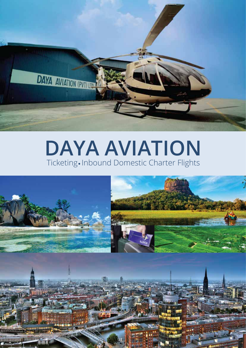

# **DAYA AVIATION** Ticketing. Inbound Domestic Charter Flights

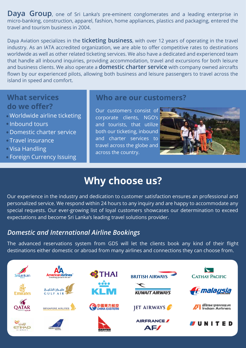**Daya Group**, one of Sri Lanka's pre-eminent conglomerates and a leading enterprise in micro-banking, construction, apparel, fashion, home appliances, plastics and packaging, entered the travel and tourism business in 2004.

Daya Aviation specializes in the **ticketing business**, with over 12 years of operating in the travel industry. As an IATA accredited organization, we are able to offer competitive rates to destinations worldwide as well as other related ticketing services. We also have a dedicated and experienced team that handle all inbound inquiries, providing accommodation, travel and excursions for both leisure and business clients. We also operate a **domestic charter service** with company owned aircrafts flown by our experienced pilots, allowing both business and leisure passengers to travel across the island in speed and comfort.

#### **What services do we offer?**

- Worldwide airline ticketing
- **Inbound tours**
- Domestic charter service
- Travel insurance
- Visa Handling
- Foreign Currency Issuing

#### **Who are our customers?**

Our customers consist of corporate clients, NGO's and tourists, that utilize both our ticketing, inbound and charter services to travel across the globe and across the country.



## **Why choose us?**

Our experience in the industry and dedication to customer satisfaction ensures an professional and personalized service. We respond within 24 hours to any inquiry and are happy to accommodate any special requests. Our ever-growing list of loyal customers showcases our determination to exceed expectations and become Sri Lanka's leading travel solutions provider.

### *Domestic and International Airline Bookings*

The advanced reservations system from GDS will let the clients book any kind of their flight destinations either domestic or abroad from many airlines and connections they can choose from.

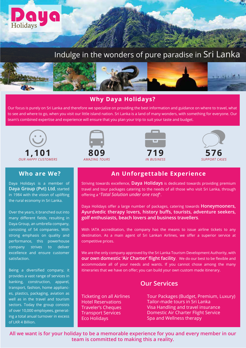



#### **Why Daya Holidays?**

Our focus is purely on Sri Lanka and therefore we specialize on providing the best information and guidance on where to travel, what to see and where to go, when you visit our little island nation. Sri Lanka is a land of many wonders, with something for everyone. Our team's combined expertise and experience will ensure that you plan your trip to suit your taste and budget.



Daya

Holidays

Daya Holidays is a member of **Daya Group (Pvt) Ltd**, started in 1984 with the vision of uplifting the rural economy in Sri Lanka.

Over the years, it branched out into many different fields, resulting in Daya Group, an umbrella company, consisting of 54 companies. With strong emphasis on quality and performance, this powerhouse company strives to deliver excellence and ensure customer satisfaction.

Being a diversified company, it provides a vast range of services in banking, construction, apparel, transport, fashion, home appliances, plastics, packaging, aviation as well as in the travel and tourism sectors. Today the group consists of over 10,000 employees, generating a total anual turnover in excess of LKR 4 Billion.







#### **Who are We? An Unforgettable Experience**

Striving towards excellence, **Daya Holidays** is dedicated towards providing premium travel and tour packages catering to the needs of all those who visit Sri Lanka, through offering a "*Total Solution under one roof*".

Daya Holidays offer a large number of packages, catering towards **Honeymooners, Ayurdvedic therapy lovers, history buffs, tourists, adventure seekers, golf enthusiasts, beach lovers and business travellers**.

With IATA accreditation, the company has the means to issue airline tickets to any destination. As a main agent of Sri Lankan Airlines, we offer a superior service at competitive prices.

We are the only company approved by the Sri Lanka Tourism Development Authority, with **our own domestic 'Air Charter' flight facility**. We do our best to be flexible and accommodate all of your needs and wants. If you cannot chose among the many itineraries that we have on offer; you can build your own custom made itinerary.

#### **Our Services**

Ticketing on all Airlines Hotel Reservations Traveler's Cheques Transport Services Eco Holidays

Tour Packages (Budget, Premium, Luxury) Tailor-made tours in Sri Lanka Visa Handling and travel insurance Domestic Air Charter Flight Service Spa and Wellness therapy

**All we want is for your holiday to be a memorable experience for you and every member in our team is committed to making this a reality.**